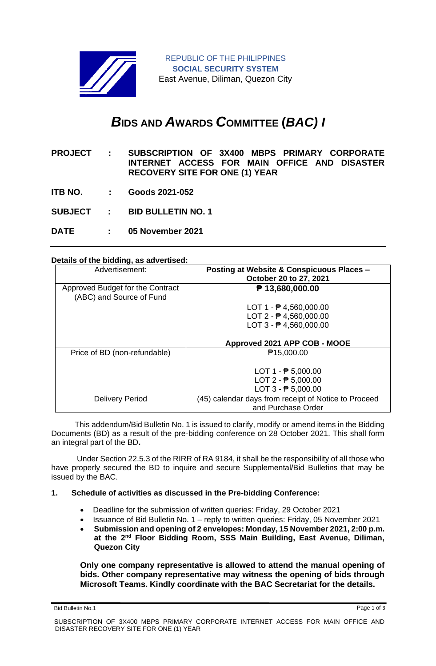

# *B***IDS AND** *A***WARDS** *C***OMMITTEE (***BAC) I*

**PROJECT : SUBSCRIPTION OF 3X400 MBPS PRIMARY CORPORATE INTERNET ACCESS FOR MAIN OFFICE AND DISASTER RECOVERY SITE FOR ONE (1) YEAR** 

- **ITB NO. : Goods 2021-052**
- **SUBJECT : BID BULLETIN NO. 1**

**DATE : 05 November 2021**

#### **Details of the bidding, as advertised:**

| Advertisement:                   | Posting at Website & Conspicuous Places -            |
|----------------------------------|------------------------------------------------------|
|                                  | October 20 to 27, 2021                               |
| Approved Budget for the Contract | ₱ 13,680,000.00                                      |
| (ABC) and Source of Fund         |                                                      |
|                                  | LOT $1 - P$ 4,560,000.00                             |
|                                  | $LOT 2 - P 4,560,000.00$                             |
|                                  | $LOT 3 - P 4,560,000.00$                             |
|                                  |                                                      |
|                                  | Approved 2021 APP COB - MOOE                         |
| Price of BD (non-refundable)     | ₱15,000.00                                           |
|                                  |                                                      |
|                                  |                                                      |
|                                  | LOT $1 - \frac{1}{2}$ 5,000.00                       |
|                                  | LOT $2 - P$ 5,000.00                                 |
|                                  | LOT $3 - 75,000.00$                                  |
| <b>Delivery Period</b>           | (45) calendar days from receipt of Notice to Proceed |

 This addendum/Bid Bulletin No. 1 is issued to clarify, modify or amend items in the Bidding Documents (BD) as a result of the pre-bidding conference on 28 October 2021. This shall form an integral part of the BD**.**

Under Section 22.5.3 of the RIRR of RA 9184, it shall be the responsibility of all those who have properly secured the BD to inquire and secure Supplemental/Bid Bulletins that may be issued by the BAC.

#### **1. Schedule of activities as discussed in the Pre-bidding Conference:**

- Deadline for the submission of written queries: Friday, 29 October 2021
- Issuance of Bid Bulletin No. 1 reply to written queries: Friday, 05 November 2021
- **Submission and opening of 2 envelopes: Monday, 15 November 2021, 2:00 p.m. at the 2nd Floor Bidding Room, SSS Main Building, East Avenue, Diliman, Quezon City**

**Only one company representative is allowed to attend the manual opening of bids. Other company representative may witness the opening of bids through Microsoft Teams. Kindly coordinate with the BAC Secretariat for the details.**

Bid Bulletin No.1 Page 1 of 3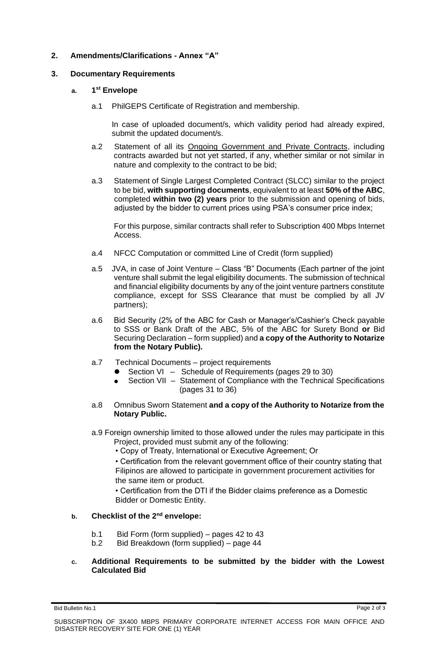## **2. Amendments/Clarifications - Annex "A"**

## **3. Documentary Requirements**

## **a. 1 st Envelope**

a.1 PhilGEPS Certificate of Registration and membership.

In case of uploaded document/s, which validity period had already expired, submit the updated document/s.

- a.2 Statement of all its Ongoing Government and Private Contracts, including contracts awarded but not yet started, if any, whether similar or not similar in nature and complexity to the contract to be bid;
- a.3 Statement of Single Largest Completed Contract (SLCC) similar to the project to be bid, **with supporting documents**, equivalent to at least **50% of the ABC**, completed **within two (2) years** prior to the submission and opening of bids, adjusted by the bidder to current prices using PSA's consumer price index;

For this purpose, similar contracts shall refer to Subscription 400 Mbps Internet Access.

- a.4 NFCC Computation or committed Line of Credit (form supplied)
- a.5 JVA, in case of Joint Venture Class "B" Documents (Each partner of the joint venture shall submit the legal eligibility documents. The submission of technical and financial eligibility documents by any of the joint venture partners constitute compliance, except for SSS Clearance that must be complied by all JV partners);
- a.6 Bid Security (2% of the ABC for Cash or Manager's/Cashier's Check payable to SSS or Bank Draft of the ABC, 5% of the ABC for Surety Bond **or** Bid Securing Declaration – form supplied) and **a copy of the Authority to Notarize from the Notary Public).**
- a.7 Technical Documents project requirements
	- Section VI Schedule of Requirements (pages 29 to 30)
	- Section VII Statement of Compliance with the Technical Specifications (pages 31 to 36)
- a.8 Omnibus Sworn Statement **and a copy of the Authority to Notarize from the Notary Public.**
- a.9 Foreign ownership limited to those allowed under the rules may participate in this Project, provided must submit any of the following:
	- Copy of Treaty, International or Executive Agreement; Or

• Certification from the relevant government office of their country stating that Filipinos are allowed to participate in government procurement activities for the same item or product.

• Certification from the DTI if the Bidder claims preference as a Domestic Bidder or Domestic Entity.

## **b. Checklist of the 2nd envelope:**

- b.1 Bid Form (form supplied) pages 42 to 43
- b.2 Bid Breakdown (form supplied) page 44

#### **c. Additional Requirements to be submitted by the bidder with the Lowest Calculated Bid**

Bid Bulletin No.1 Page 2 of 3